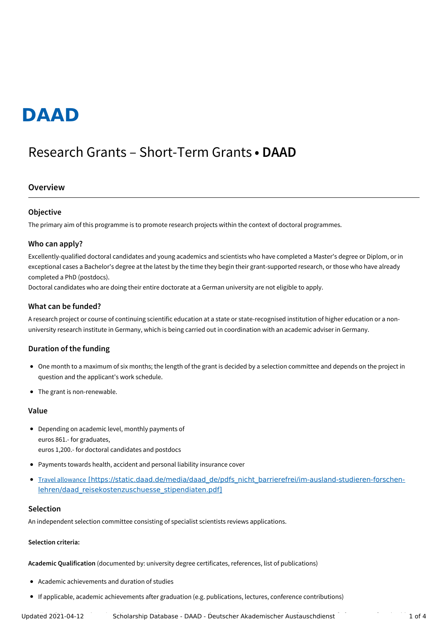# **DAAD**

# Research Grants – Short-Term Grants **• DAAD**

# **Overview**

#### **Objective**

The primary aim of this programme is to promote research projects within the context of doctoral programmes.

#### **Who can apply?**

Excellently-qualified doctoral candidates and young academics and scientists who have completed a Master's degree or Diplom, or in exceptional cases a Bachelor's degree at the latest by the time they begin their grant-supported research, or those who have already completed a PhD (postdocs).

Doctoral candidates who are doing their entire doctorate at a German university are not eligible to apply.

#### **What can be funded?**

A research project or course of continuing scientific education at a state or state-recognised institution of higher education or a nonuniversity research institute in Germany, which is being carried out in coordination with an academic adviser in Germany.

# **Duration of the funding**

- One month to a maximum of six months; the length of the grant is decided by a selection committee and depends on the project in question and the applicant's work schedule.
- The grant is non-renewable.

# **Value**

- Depending on academic level, monthly payments of euros 861.- for graduates, euros 1,200.- for doctoral candidates and postdocs
- Payments towards health, accident and personal liability insurance cover
- Travel allowance [\[https://static.daad.de/media/daad\\_de/pdfs\\_nicht\\_barrierefrei/im-ausland-studieren-forschen](https://static.daad.de/media/daad_de/pdfs_nicht_barrierefrei/im-ausland-studieren-forschen-lehren/daad_reisekostenzuschuesse_stipendiaten.pdf)lehren/daad reisekostenzuschuesse stipendiaten.pdf]

#### **Selection**

An independent selection committee consisting of specialist scientists reviews applications.

#### **Selection criteria:**

**Academic Qualification** (documented by: university degree certificates, references, list of publications)

- Academic achievements and duration of studies
- If applicable, academic achievements after graduation (e.g. publications, lectures, conference contributions)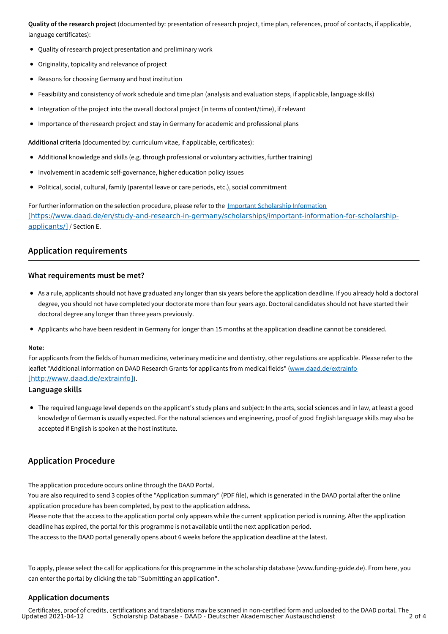**Quality of the research project** (documented by: presentation of research project, time plan, references, proof of contacts, if applicable, language certificates):

- Quality of research project presentation and preliminary work
- Originality, topicality and relevance of project
- Reasons for choosing Germany and host institution
- Feasibility and consistency of work schedule and time plan (analysis and evaluation steps, if applicable, language skills)
- Integration of the project into the overall doctoral project (in terms of content/time), if relevant
- Importance of the research project and stay in Germany for academic and professional plans

**Additional criteria** (documented by: curriculum vitae, if applicable, certificates):

- Additional knowledge and skills (e.g. through professional or voluntary activities, further training)
- Involvement in academic self-governance, higher education policy issues
- $\bullet$ Political, social, cultural, family (parental leave or care periods, etc.), social commitment

For further information on the selection procedure, please refer to the Important Scholarship Information [\[https://www.daad.de/en/study-and-research-in-germany/scholarships/important-information-for-scholarship](https://www.daad.de/en/study-and-research-in-germany/scholarships/important-information-for-scholarship-applicants/)applicants/] / Section E.

# **Application requirements**

#### **What requirements must be met?**

- As a rule, applicants should not have graduated any longer than six years before the application deadline. If you already hold a doctoral degree, you should not have completed your doctorate more than four years ago. Doctoral candidates should not have started their doctoral degree any longer than three years previously.
- Applicants who have been resident in Germany for longer than 15 months at the application deadline cannot be considered.

#### **Note:**

For applicants from the fields of human medicine, veterinary medicine and dentistry, other regulations are applicable. Please refer to the leaflet "Additional information on DAAD Research Grants for applicants from medical fields" (www.daad.de/extrainfo [\[http://www.daad.de/extrainfo\]](http://www.daad.de/extrainfo)).

#### **Language skills**

The required language level depends on the applicant's study plans and subject: In the arts, social sciences and in law, at least a good knowledge of German is usually expected. For the natural sciences and engineering, proof of good English language skills may also be accepted if English is spoken at the host institute.

# **Application Procedure**

The application procedure occurs online through the DAAD Portal.

You are also required to send 3 copies of the "Application summary" (PDF file), which is generated in the DAAD portal after the online application procedure has been completed, by post to the application address.

Please note that the access to the application portal only appears while the current application period is running. After the application deadline has expired, the portal for this programme is not available until the next application period.

The access to the DAAD portal generally opens about 6 weeks before the application deadline at the latest.

To apply, please select the call for applications for this programme in the scholarship database (www.funding-guide.de). From here, you can enter the portal by clicking the tab "Submitting an application".

#### **Application documents**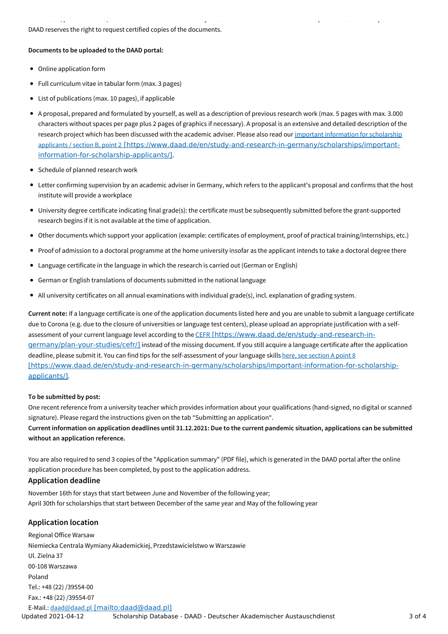DAAD reserves the right to request certified copies of the documents.

#### **Documents to be uploaded to the DAAD portal:**

- Online application form
- Full curriculum vitae in tabular form (max. 3 pages)
- List of publications (max. 10 pages), if applicable
- A proposal, prepared and formulated by yourself, as well as a description of previous research work (max. 5 pages with max. 3.000 characters without spaces per page plus 2 pages of graphics if necessary). A proposal is an extensive and detailed description of the research project which has been discussed with the academic adviser. Please also read our important information for scholarship applicants / section B, point 2 [\[https://www.daad.de/en/study-and-research-in-germany/scholarships/important](https://www.daad.de/en/study-and-research-in-germany/scholarships/important-information-for-scholarship-applicants/)information-for-scholarship-applicants/].

Certificates, proof of credits, certifications and translations may be scanned in non-certified form and uploaded to the DAAD portal. The

- Schedule of planned research work
- Letter confirming supervision by an academic adviser in Germany, which refers to the applicant's proposal and confirms that the host institute will provide a workplace
- University degree certificate indicating final grade(s): the certificate must be subsequently submitted before the grant-supported research begins if it is not available at the time of application.
- Other documents which support your application (example: certificates of employment, proof of practical training/internships, etc.)
- Proof of admission to a doctoral programme at the home university insofar as the applicant intends to take a doctoral degree there
- Language certificate in the language in which the research is carried out (German or English)
- German or English translations of documents submitted in the national language
- All university certificates on all annual examinations with individual grade(s), incl. explanation of grading system.

**Current note:** If a language certificate is one of the application documents listed here and you are unable to submit a language certificate due to Corona (e.g. due to the closure of universities or language test centers), please upload an appropriate justification with a self-assessment of your current language level according to the CEFR [\[https://www.daad.de/en/study-and-research-in](https://www.daad.de/en/study-and-research-in-germany/plan-your-studies/cefr/)germany/plan-your-studies/cefr/] instead of the missing document. If you still acquire a language certificate after the application deadline, please submit it. You can find tips for the self-assessment of your language skills here, see section A point 8 [\[https://www.daad.de/en/study-and-research-in-germany/scholarships/important-information-for-scholarship](https://www.daad.de/en/study-and-research-in-germany/scholarships/important-information-for-scholarship-applicants/)applicants/].

#### **To be submitted by post:**

One recent reference from a university teacher which provides information about your qualifications (hand-signed, no digital or scanned signature). Please regard the instructions given on the tab "Submitting an application". Current information on application deadlines until 31.12.2021: Due to the current pandemic situation, applications can be submitted

You are also required to send 3 copies of the "Application summary" (PDF file), which is generated in the DAAD portal after the online application procedure has been completed, by post to the application address.

#### **Application deadline**

**without an application reference.**

November 16th for stays that start between June and November of the following year; April 30th for scholarships that start between December of the same year and May of the following year

# **Application location**

Regional Office Warsaw Niemiecka Centrala Wymiany Akademickiej, Przedstawicielstwo w Warszawie Ul. Zielna 37 00-108 Warszawa Poland Tel.: +48 (22) /39554-00 Fax.: +48 (22) /39554-07 E-Mail.: daad@daad.pl [\[mailto:daad@daad.pl\]](mailto:daad@daad.pl) Updated 2021-04-12 Scholarship Database - DAAD - Deutscher Akademischer Austauschdienst 3 of 4